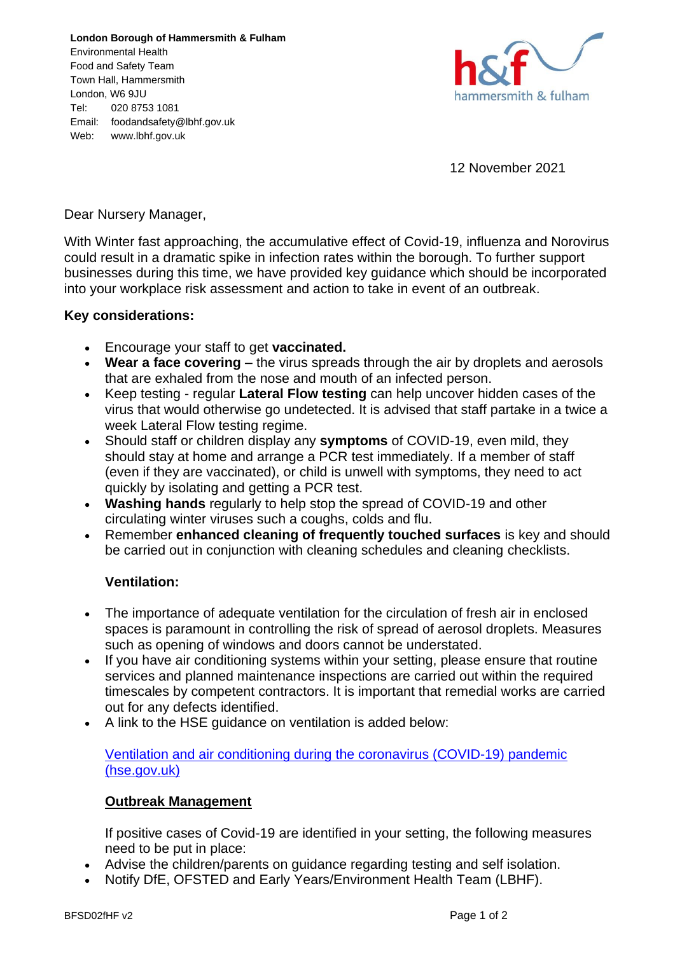**London Borough of Hammersmith & Fulham** Environmental Health Food and Safety Team Town Hall, Hammersmith London, W6 9JU Tel: 020 8753 1081 Email: foodandsafety@lbhf.gov.uk Web: www.lbhf.gov.uk



12 November 2021

Dear Nursery Manager,

With Winter fast approaching, the accumulative effect of Covid-19, influenza and Norovirus could result in a dramatic spike in infection rates within the borough. To further support businesses during this time, we have provided key guidance which should be incorporated into your workplace risk assessment and action to take in event of an outbreak.

## **Key considerations:**

- Encourage your staff to get **vaccinated.**
- **Wear a face covering** the virus spreads through the air by droplets and aerosols that are exhaled from the nose and mouth of an infected person.
- Keep testing regular **Lateral Flow testing** can help uncover hidden cases of the virus that would otherwise go undetected. It is advised that staff partake in a twice a week Lateral Flow testing regime.
- Should staff or children display any **symptoms** of COVID-19, even mild, they should stay at home and arrange a PCR test immediately. If a member of staff (even if they are vaccinated), or child is unwell with symptoms, they need to act quickly by isolating and getting a PCR test.
- **Washing hands** regularly to help stop the spread of COVID-19 and other circulating winter viruses such a coughs, colds and flu.
- Remember **enhanced cleaning of frequently touched surfaces** is key and should be carried out in conjunction with cleaning schedules and cleaning checklists.

## **Ventilation:**

- The importance of adequate ventilation for the circulation of fresh air in enclosed spaces is paramount in controlling the risk of spread of aerosol droplets. Measures such as opening of windows and doors cannot be understated.
- If you have air conditioning systems within your setting, please ensure that routine services and planned maintenance inspections are carried out within the required timescales by competent contractors. It is important that remedial works are carried out for any defects identified.
- A link to the HSE guidance on ventilation is added below:

[Ventilation and air conditioning during the coronavirus \(COVID-19\) pandemic](https://www.hse.gov.uk/coronavirus/equipment-and-machinery/air-conditioning-and-ventilation/index.htm)  [\(hse.gov.uk\)](https://www.hse.gov.uk/coronavirus/equipment-and-machinery/air-conditioning-and-ventilation/index.htm)

## **Outbreak Management**

If positive cases of Covid-19 are identified in your setting, the following measures need to be put in place:

- Advise the children/parents on guidance regarding testing and self isolation.
- Notify DfE, OFSTED and Early Years/Environment Health Team (LBHF).